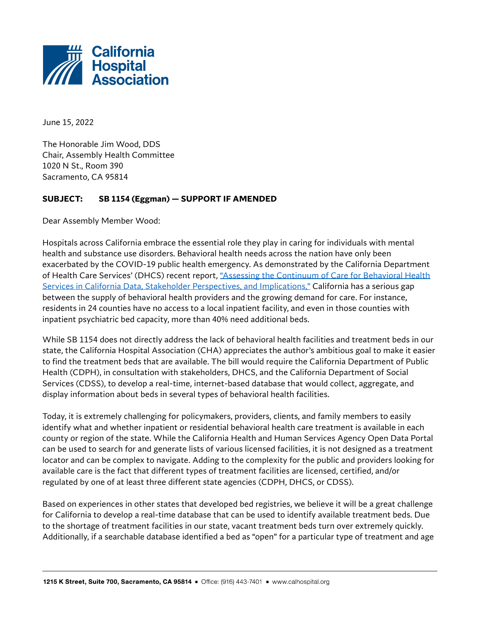

June 15, 2022

The Honorable Jim Wood, DDS Chair, Assembly Health Committee 1020 N St., Room 390 Sacramento, CA 95814

## **SUBJECT: SB 1154 (Eggman) — SUPPORT IF AMENDED**

Dear Assembly Member Wood:

Hospitals across California embrace the essential role they play in caring for individuals with mental health and substance use disorders. Behavioral health needs across the nation have only been exacerbated by the COVID-19 public health emergency. As demonstrated by the California Department of Health Care Services' (DHCS) recent report[, "Assessing the Continuum of Care for Behavioral Health](https://www.dhcs.ca.gov/Documents/Assessing-the-Continuum-of-Care-for-BH-Services-in-California.pdf)  [Services in California Data, Stakeholder Perspectives, and Implications,"](https://www.dhcs.ca.gov/Documents/Assessing-the-Continuum-of-Care-for-BH-Services-in-California.pdf) California has a serious gap between the supply of behavioral health providers and the growing demand for care. For instance, residents in 24 counties have no access to a local inpatient facility, and even in those counties with inpatient psychiatric bed capacity, more than 40% need additional beds.

While SB 1154 does not directly address the lack of behavioral health facilities and treatment beds in our state, the California Hospital Association (CHA) appreciates the author's ambitious goal to make it easier to find the treatment beds that are available. The bill would require the California Department of Public Health (CDPH), in consultation with stakeholders, DHCS, and the California Department of Social Services (CDSS), to develop a real-time, internet-based database that would collect, aggregate, and display information about beds in several types of behavioral health facilities.

Today, it is extremely challenging for policymakers, providers, clients, and family members to easily identify what and whether inpatient or residential behavioral health care treatment is available in each county or region of the state. While the California Health and Human Services Agency Open Data Portal can be used to search for and generate lists of various licensed facilities, it is not designed as a treatment locator and can be complex to navigate. Adding to the complexity for the public and providers looking for available care is the fact that different types of treatment facilities are licensed, certified, and/or regulated by one of at least three different state agencies (CDPH, DHCS, or CDSS).

Based on experiences in other states that developed bed registries, we believe it will be a great challenge for California to develop a real-time database that can be used to identify available treatment beds. Due to the shortage of treatment facilities in our state, vacant treatment beds turn over extremely quickly. Additionally, if a searchable database identified a bed as "open" for a particular type of treatment and age